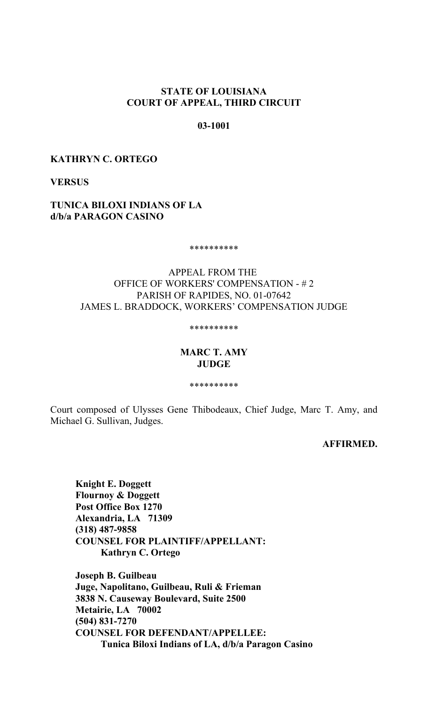# **STATE OF LOUISIANA COURT OF APPEAL, THIRD CIRCUIT**

# **03-1001**

# **KATHRYN C. ORTEGO**

**VERSUS** 

# **TUNICA BILOXI INDIANS OF LA d/b/a PARAGON CASINO**

\*\*\*\*\*\*\*\*\*\*

# APPEAL FROM THE OFFICE OF WORKERS' COMPENSATION - # 2 PARISH OF RAPIDES, NO. 01-07642 JAMES L. BRADDOCK, WORKERS' COMPENSATION JUDGE

#### \*\*\*\*\*\*\*\*\*\*

### **MARC T. AMY JUDGE**

\*\*\*\*\*\*\*\*\*\*

Court composed of Ulysses Gene Thibodeaux, Chief Judge, Marc T. Amy, and Michael G. Sullivan, Judges.

# **AFFIRMED.**

**Knight E. Doggett Flournoy & Doggett Post Office Box 1270 Alexandria, LA 71309 (318) 487-9858 COUNSEL FOR PLAINTIFF/APPELLANT: Kathryn C. Ortego**

**Joseph B. Guilbeau Juge, Napolitano, Guilbeau, Ruli & Frieman 3838 N. Causeway Boulevard, Suite 2500 Metairie, LA 70002 (504) 831-7270 COUNSEL FOR DEFENDANT/APPELLEE: Tunica Biloxi Indians of LA, d/b/a Paragon Casino**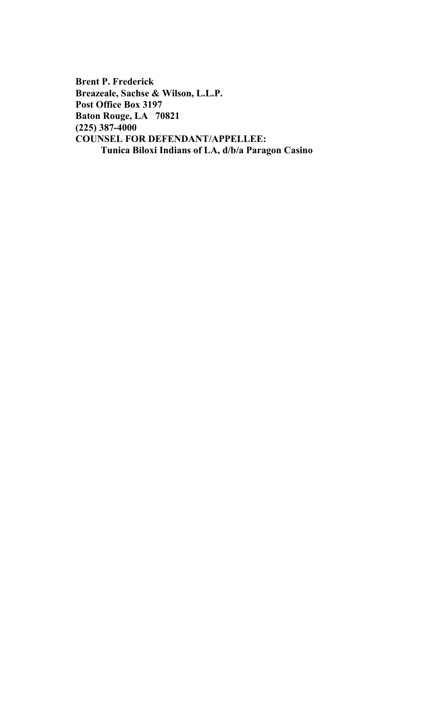**Brent P. Frederick Breazeale, Sachse & Wilson, L.L.P. Post Office Box 3197 Baton Rouge, LA 70821 (225) 387-4000 COUNSEL FOR DEFENDANT/APPELLEE: Tunica Biloxi Indians of LA, d/b/a Paragon Casino**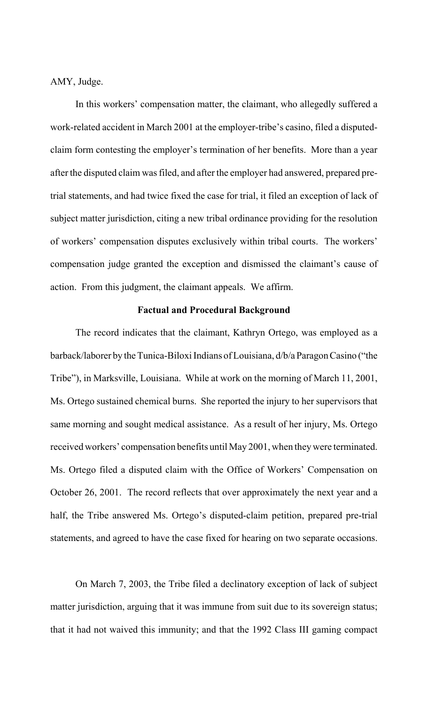AMY, Judge.

In this workers' compensation matter, the claimant, who allegedly suffered a work-related accident in March 2001 at the employer-tribe's casino, filed a disputedclaim form contesting the employer's termination of her benefits. More than a year after the disputed claim was filed, and after the employer had answered, prepared pretrial statements, and had twice fixed the case for trial, it filed an exception of lack of subject matter jurisdiction, citing a new tribal ordinance providing for the resolution of workers' compensation disputes exclusively within tribal courts. The workers' compensation judge granted the exception and dismissed the claimant's cause of action. From this judgment, the claimant appeals. We affirm.

#### **Factual and Procedural Background**

The record indicates that the claimant, Kathryn Ortego, was employed as a barback/laborer by the Tunica-Biloxi Indians of Louisiana, d/b/a Paragon Casino ("the Tribe"), in Marksville, Louisiana. While at work on the morning of March 11, 2001, Ms. Ortego sustained chemical burns. She reported the injury to her supervisors that same morning and sought medical assistance. As a result of her injury, Ms. Ortego received workers' compensation benefits until May 2001, when they were terminated. Ms. Ortego filed a disputed claim with the Office of Workers' Compensation on October 26, 2001. The record reflects that over approximately the next year and a half, the Tribe answered Ms. Ortego's disputed-claim petition, prepared pre-trial statements, and agreed to have the case fixed for hearing on two separate occasions.

On March 7, 2003, the Tribe filed a declinatory exception of lack of subject matter jurisdiction, arguing that it was immune from suit due to its sovereign status; that it had not waived this immunity; and that the 1992 Class III gaming compact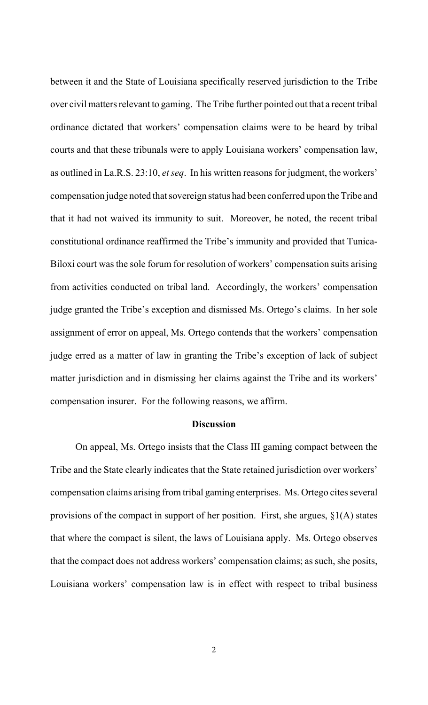between it and the State of Louisiana specifically reserved jurisdiction to the Tribe over civil matters relevant to gaming. The Tribe further pointed out that a recent tribal ordinance dictated that workers' compensation claims were to be heard by tribal courts and that these tribunals were to apply Louisiana workers' compensation law, as outlined in La.R.S. 23:10, *et seq*. In his written reasons for judgment, the workers' compensation judge noted that sovereign status had been conferred upon the Tribe and that it had not waived its immunity to suit. Moreover, he noted, the recent tribal constitutional ordinance reaffirmed the Tribe's immunity and provided that Tunica-Biloxi court was the sole forum for resolution of workers' compensation suits arising from activities conducted on tribal land. Accordingly, the workers' compensation judge granted the Tribe's exception and dismissed Ms. Ortego's claims. In her sole assignment of error on appeal, Ms. Ortego contends that the workers' compensation judge erred as a matter of law in granting the Tribe's exception of lack of subject matter jurisdiction and in dismissing her claims against the Tribe and its workers' compensation insurer. For the following reasons, we affirm.

#### **Discussion**

On appeal, Ms. Ortego insists that the Class III gaming compact between the Tribe and the State clearly indicates that the State retained jurisdiction over workers' compensation claims arising from tribal gaming enterprises. Ms. Ortego cites several provisions of the compact in support of her position. First, she argues, §1(A) states that where the compact is silent, the laws of Louisiana apply. Ms. Ortego observes that the compact does not address workers' compensation claims; as such, she posits, Louisiana workers' compensation law is in effect with respect to tribal business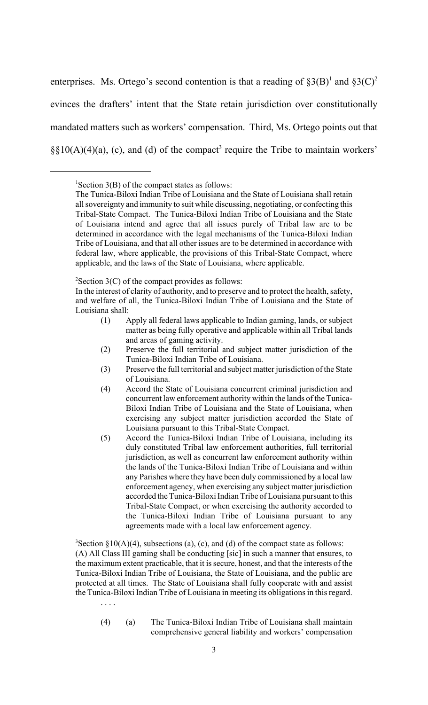enterprises. Ms. Ortego's second contention is that a reading of  $\S3(B)^1$  and  $\S3(C)^2$ evinces the drafters' intent that the State retain jurisdiction over constitutionally mandated matters such as workers' compensation. Third, Ms. Ortego points out that  $\S\S10(A)(4)(a)$ , (c), and (d) of the compact<sup>3</sup> require the Tribe to maintain workers'

 $2$ Section 3(C) of the compact provides as follows:

- (1) Apply all federal laws applicable to Indian gaming, lands, or subject matter as being fully operative and applicable within all Tribal lands and areas of gaming activity.
- (2) Preserve the full territorial and subject matter jurisdiction of the Tunica-Biloxi Indian Tribe of Louisiana.
- (3) Preserve the full territorial and subject matter jurisdiction of the State of Louisiana.
- (4) Accord the State of Louisiana concurrent criminal jurisdiction and concurrent law enforcement authority within the lands of the Tunica-Biloxi Indian Tribe of Louisiana and the State of Louisiana, when exercising any subject matter jurisdiction accorded the State of Louisiana pursuant to this Tribal-State Compact.
- (5) Accord the Tunica-Biloxi Indian Tribe of Louisiana, including its duly constituted Tribal law enforcement authorities, full territorial jurisdiction, as well as concurrent law enforcement authority within the lands of the Tunica-Biloxi Indian Tribe of Louisiana and within any Parishes where they have been duly commissioned by a local law enforcement agency, when exercising any subject matter jurisdiction accorded the Tunica-Biloxi Indian Tribe of Louisiana pursuant to this Tribal-State Compact, or when exercising the authority accorded to the Tunica-Biloxi Indian Tribe of Louisiana pursuant to any agreements made with a local law enforcement agency.

<sup>3</sup>Section §10(A)(4), subsections (a), (c), and (d) of the compact state as follows: (A) All Class III gaming shall be conducting [sic] in such a manner that ensures, to the maximum extent practicable, that it is secure, honest, and that the interests of the Tunica-Biloxi Indian Tribe of Louisiana, the State of Louisiana, and the public are protected at all times. The State of Louisiana shall fully cooperate with and assist the Tunica-Biloxi Indian Tribe of Louisiana in meeting its obligations in this regard.

. . . .

(4) (a) The Tunica-Biloxi Indian Tribe of Louisiana shall maintain comprehensive general liability and workers' compensation

 ${}^{1}$ Section 3(B) of the compact states as follows:

The Tunica-Biloxi Indian Tribe of Louisiana and the State of Louisiana shall retain all sovereignty and immunity to suit while discussing, negotiating, or confecting this Tribal-State Compact. The Tunica-Biloxi Indian Tribe of Louisiana and the State of Louisiana intend and agree that all issues purely of Tribal law are to be determined in accordance with the legal mechanisms of the Tunica-Biloxi Indian Tribe of Louisiana, and that all other issues are to be determined in accordance with federal law, where applicable, the provisions of this Tribal-State Compact, where applicable, and the laws of the State of Louisiana, where applicable.

In the interest of clarity of authority, and to preserve and to protect the health, safety, and welfare of all, the Tunica-Biloxi Indian Tribe of Louisiana and the State of Louisiana shall: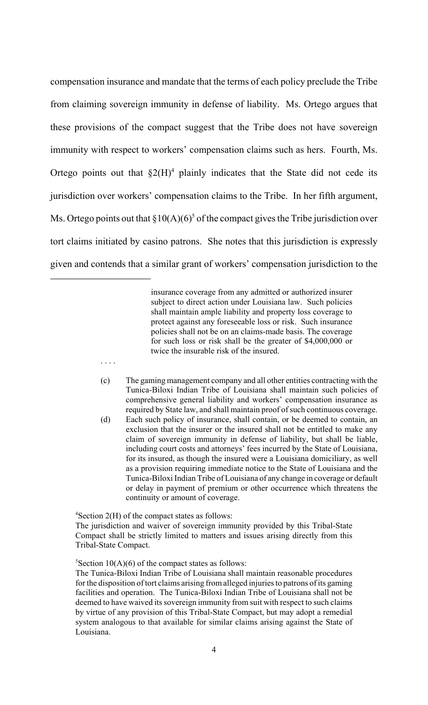compensation insurance and mandate that the terms of each policy preclude the Tribe from claiming sovereign immunity in defense of liability. Ms. Ortego argues that these provisions of the compact suggest that the Tribe does not have sovereign immunity with respect to workers' compensation claims such as hers. Fourth, Ms. Ortego points out that  $\S2(H)^4$  plainly indicates that the State did not cede its jurisdiction over workers' compensation claims to the Tribe. In her fifth argument, Ms. Ortego points out that  $\S 10(A)(6)^5$  of the compact gives the Tribe jurisdiction over tort claims initiated by casino patrons. She notes that this jurisdiction is expressly given and contends that a similar grant of workers' compensation jurisdiction to the

> insurance coverage from any admitted or authorized insurer subject to direct action under Louisiana law. Such policies shall maintain ample liability and property loss coverage to protect against any foreseeable loss or risk. Such insurance policies shall not be on an claims-made basis. The coverage for such loss or risk shall be the greater of \$4,000,000 or twice the insurable risk of the insured.

- (c) The gaming management company and all other entities contracting with the Tunica-Biloxi Indian Tribe of Louisiana shall maintain such policies of comprehensive general liability and workers' compensation insurance as required by State law, and shall maintain proof of such continuous coverage.
- (d) Each such policy of insurance, shall contain, or be deemed to contain, an exclusion that the insurer or the insured shall not be entitled to make any claim of sovereign immunity in defense of liability, but shall be liable, including court costs and attorneys' fees incurred by the State of Louisiana, for its insured, as though the insured were a Louisiana domiciliary, as well as a provision requiring immediate notice to the State of Louisiana and the Tunica-Biloxi Indian Tribe of Louisiana of any change in coverage or default or delay in payment of premium or other occurrence which threatens the continuity or amount of coverage.

4 Section 2(H) of the compact states as follows:

. . . .

The jurisdiction and waiver of sovereign immunity provided by this Tribal-State Compact shall be strictly limited to matters and issues arising directly from this Tribal-State Compact.

 ${}^{5}$ Section 10(A)(6) of the compact states as follows:

The Tunica-Biloxi Indian Tribe of Louisiana shall maintain reasonable procedures for the disposition of tort claims arising from alleged injuries to patrons of its gaming facilities and operation. The Tunica-Biloxi Indian Tribe of Louisiana shall not be deemed to have waived its sovereign immunity from suit with respect to such claims by virtue of any provision of this Tribal-State Compact, but may adopt a remedial system analogous to that available for similar claims arising against the State of Louisiana.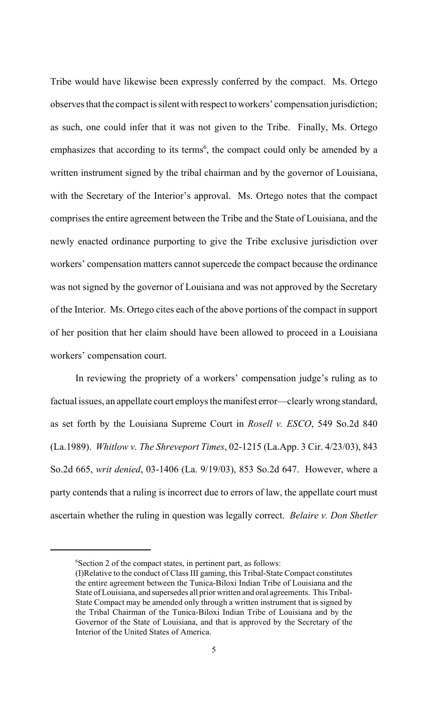Tribe would have likewise been expressly conferred by the compact. Ms. Ortego observes that the compact is silent with respect to workers' compensation jurisdiction; as such, one could infer that it was not given to the Tribe. Finally, Ms. Ortego emphasizes that according to its terms<sup>6</sup>, the compact could only be amended by a written instrument signed by the tribal chairman and by the governor of Louisiana, with the Secretary of the Interior's approval. Ms. Ortego notes that the compact comprises the entire agreement between the Tribe and the State of Louisiana, and the newly enacted ordinance purporting to give the Tribe exclusive jurisdiction over workers' compensation matters cannot supercede the compact because the ordinance was not signed by the governor of Louisiana and was not approved by the Secretary of the Interior. Ms. Ortego cites each of the above portions of the compact in support of her position that her claim should have been allowed to proceed in a Louisiana workers' compensation court.

In reviewing the propriety of a workers' compensation judge's ruling as to factual issues, an appellate court employs the manifest error—clearly wrong standard, as set forth by the Louisiana Supreme Court in *Rosell v. ESCO*, 549 So.2d 840 (La.1989). *Whitlow v. The Shreveport Times*, 02-1215 (La.App. 3 Cir. 4/23/03), 843 So.2d 665, *writ denied*, 03-1406 (La. 9/19/03), 853 So.2d 647. However, where a party contends that a ruling is incorrect due to errors of law, the appellate court must ascertain whether the ruling in question was legally correct. *Belaire v. Don Shetler*

<sup>6</sup> Section 2 of the compact states, in pertinent part, as follows:

<sup>(</sup>I)Relative to the conduct of Class III gaming, this Tribal-State Compact constitutes the entire agreement between the Tunica-Biloxi Indian Tribe of Louisiana and the State of Louisiana, and supersedes all prior written and oral agreements. This Tribal-State Compact may be amended only through a written instrument that is signed by the Tribal Chairman of the Tunica-Biloxi Indian Tribe of Louisiana and by the Governor of the State of Louisiana, and that is approved by the Secretary of the Interior of the United States of America.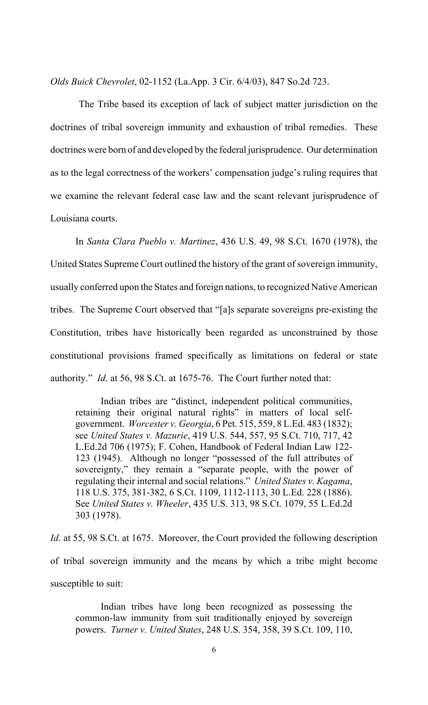*Olds Buick Chevrolet*, 02-1152 (La.App. 3 Cir. 6/4/03), 847 So.2d 723.

 The Tribe based its exception of lack of subject matter jurisdiction on the doctrines of tribal sovereign immunity and exhaustion of tribal remedies. These doctrines were born of and developed by the federal jurisprudence. Our determination as to the legal correctness of the workers' compensation judge's ruling requires that we examine the relevant federal case law and the scant relevant jurisprudence of Louisiana courts.

In *Santa Clara Pueblo v. Martinez*, 436 U.S. 49, 98 S.Ct. 1670 (1978), the United States Supreme Court outlined the history of the grant of sovereign immunity, usually conferred upon the States and foreign nations, to recognized Native American tribes. The Supreme Court observed that "[a]s separate sovereigns pre-existing the Constitution, tribes have historically been regarded as unconstrained by those constitutional provisions framed specifically as limitations on federal or state authority." *Id*. at 56, 98 S.Ct. at 1675-76. The Court further noted that:

Indian tribes are "distinct, independent political communities, retaining their original natural rights" in matters of local selfgovernment. *Worcester v. Georgia*, 6 Pet. 515, 559, 8 L.Ed. 483 (1832); see *United States v. Mazurie*, 419 U.S. 544, 557, 95 S.Ct. 710, 717, 42 L.Ed.2d 706 (1975); F. Cohen, Handbook of Federal Indian Law 122- 123 (1945). Although no longer "possessed of the full attributes of sovereignty," they remain a "separate people, with the power of regulating their internal and social relations." *United States v. Kagama*, 118 U.S. 375, 381-382, 6 S.Ct. 1109, 1112-1113, 30 L.Ed. 228 (1886). See *United States v. Wheeler*, 435 U.S. 313, 98 S.Ct. 1079, 55 L.Ed.2d 303 (1978).

*Id*. at 55, 98 S.Ct. at 1675. Moreover, the Court provided the following description of tribal sovereign immunity and the means by which a tribe might become susceptible to suit:

Indian tribes have long been recognized as possessing the common-law immunity from suit traditionally enjoyed by sovereign powers. *Turner v. United States*, 248 U.S. 354, 358, 39 S.Ct. 109, 110,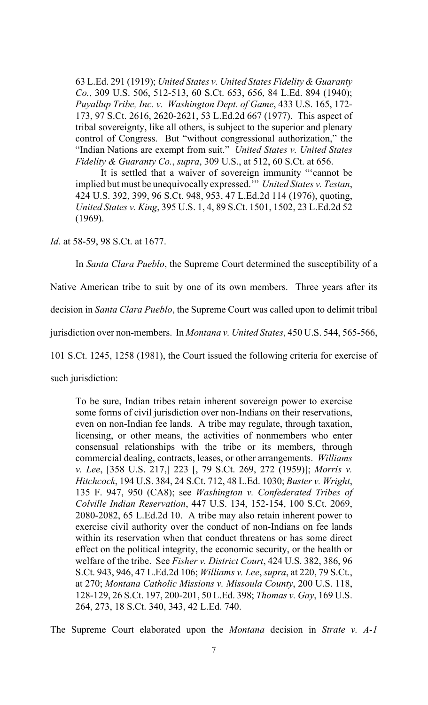63 L.Ed. 291 (1919); *United States v. United States Fidelity & Guaranty Co.*, 309 U.S. 506, 512-513, 60 S.Ct. 653, 656, 84 L.Ed. 894 (1940); *Puyallup Tribe, Inc. v. Washington Dept. of Game*, 433 U.S. 165, 172- 173, 97 S.Ct. 2616, 2620-2621, 53 L.Ed.2d 667 (1977). This aspect of tribal sovereignty, like all others, is subject to the superior and plenary control of Congress. But "without congressional authorization," the "Indian Nations are exempt from suit." *United States v. United States Fidelity & Guaranty Co.*, *supra*, 309 U.S., at 512, 60 S.Ct. at 656.

It is settled that a waiver of sovereign immunity "'cannot be implied but must be unequivocally expressed.'" *United States v. Testan*, 424 U.S. 392, 399, 96 S.Ct. 948, 953, 47 L.Ed.2d 114 (1976), quoting, *United States v. King*, 395 U.S. 1, 4, 89 S.Ct. 1501, 1502, 23 L.Ed.2d 52 (1969).

*Id*. at 58-59, 98 S.Ct. at 1677.

In *Santa Clara Pueblo*, the Supreme Court determined the susceptibility of a

Native American tribe to suit by one of its own members. Three years after its

decision in *Santa Clara Pueblo*, the Supreme Court was called upon to delimit tribal

jurisdiction over non-members. In *Montana v. United States*, 450 U.S. 544, 565-566,

101 S.Ct. 1245, 1258 (1981), the Court issued the following criteria for exercise of

such jurisdiction:

To be sure, Indian tribes retain inherent sovereign power to exercise some forms of civil jurisdiction over non-Indians on their reservations, even on non-Indian fee lands. A tribe may regulate, through taxation, licensing, or other means, the activities of nonmembers who enter consensual relationships with the tribe or its members, through commercial dealing, contracts, leases, or other arrangements. *Williams v. Lee*, [358 U.S. 217,] 223 [, 79 S.Ct. 269, 272 (1959)]; *Morris v. Hitchcock*, 194 U.S. 384, 24 S.Ct. 712, 48 L.Ed. 1030; *Buster v. Wright*, 135 F. 947, 950 (CA8); see *Washington v. Confederated Tribes of Colville Indian Reservation*, 447 U.S. 134, 152-154, 100 S.Ct. 2069, 2080-2082, 65 L.Ed.2d 10. A tribe may also retain inherent power to exercise civil authority over the conduct of non-Indians on fee lands within its reservation when that conduct threatens or has some direct effect on the political integrity, the economic security, or the health or welfare of the tribe. See *Fisher v. District Court*, 424 U.S. 382, 386, 96 S.Ct. 943, 946, 47 L.Ed.2d 106; *Williams v. Lee*, *supra*, at 220, 79 S.Ct., at 270; *Montana Catholic Missions v. Missoula County*, 200 U.S. 118, 128-129, 26 S.Ct. 197, 200-201, 50 L.Ed. 398; *Thomas v. Gay*, 169 U.S. 264, 273, 18 S.Ct. 340, 343, 42 L.Ed. 740.

The Supreme Court elaborated upon the *Montana* decision in *Strate v. A-1*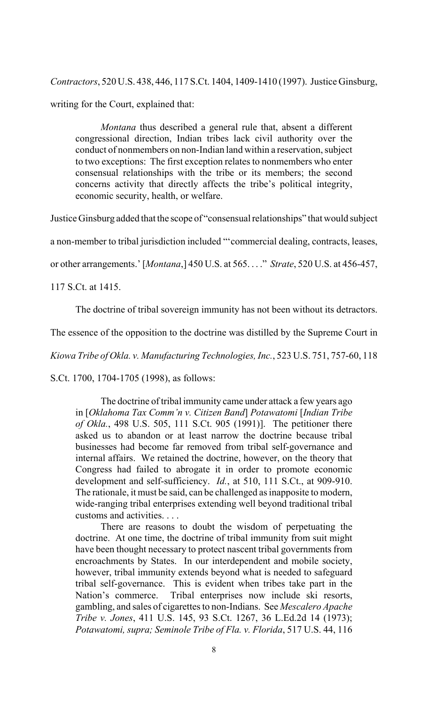*Contractors*, 520 U.S. 438, 446, 117 S.Ct. 1404, 1409-1410 (1997). Justice Ginsburg, writing for the Court, explained that:

*Montana* thus described a general rule that, absent a different congressional direction, Indian tribes lack civil authority over the conduct of nonmembers on non-Indian land within a reservation, subject to two exceptions: The first exception relates to nonmembers who enter consensual relationships with the tribe or its members; the second concerns activity that directly affects the tribe's political integrity, economic security, health, or welfare.

Justice Ginsburg added that the scope of "consensual relationships" that would subject

a non-member to tribal jurisdiction included "'commercial dealing, contracts, leases,

or other arrangements.' [*Montana*,] 450 U.S. at 565. . . ." *Strate*, 520 U.S. at 456-457,

117 S.Ct. at 1415.

The doctrine of tribal sovereign immunity has not been without its detractors.

The essence of the opposition to the doctrine was distilled by the Supreme Court in

*Kiowa Tribe of Okla. v. Manufacturing Technologies, Inc.*, 523 U.S. 751, 757-60, 118

S.Ct. 1700, 1704-1705 (1998), as follows:

The doctrine of tribal immunity came under attack a few years ago in [*Oklahoma Tax Comm'n v. Citizen Band*] *Potawatomi* [*Indian Tribe of Okla.*, 498 U.S. 505, 111 S.Ct. 905 (1991)]. The petitioner there asked us to abandon or at least narrow the doctrine because tribal businesses had become far removed from tribal self-governance and internal affairs. We retained the doctrine, however, on the theory that Congress had failed to abrogate it in order to promote economic development and self-sufficiency. *Id.*, at 510, 111 S.Ct., at 909-910. The rationale, it must be said, can be challenged as inapposite to modern, wide-ranging tribal enterprises extending well beyond traditional tribal customs and activities. . . .

There are reasons to doubt the wisdom of perpetuating the doctrine. At one time, the doctrine of tribal immunity from suit might have been thought necessary to protect nascent tribal governments from encroachments by States. In our interdependent and mobile society, however, tribal immunity extends beyond what is needed to safeguard tribal self-governance. This is evident when tribes take part in the Nation's commerce. Tribal enterprises now include ski resorts, gambling, and sales of cigarettes to non-Indians. See *Mescalero Apache Tribe v. Jones*, 411 U.S. 145, 93 S.Ct. 1267, 36 L.Ed.2d 14 (1973); *Potawatomi, supra; Seminole Tribe of Fla. v. Florida*, 517 U.S. 44, 116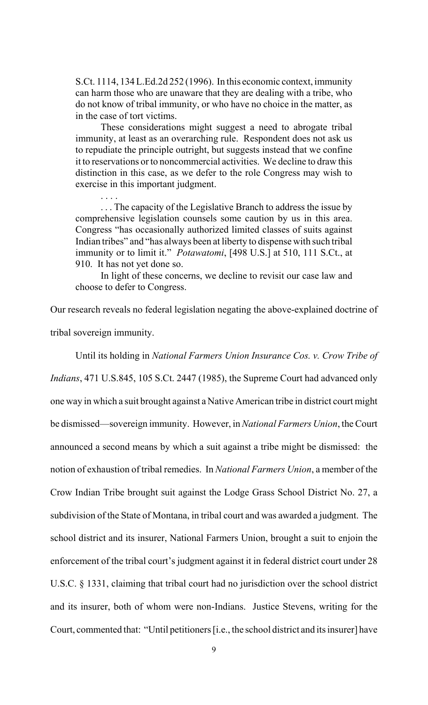S.Ct. 1114, 134 L.Ed.2d 252 (1996). In this economic context, immunity can harm those who are unaware that they are dealing with a tribe, who do not know of tribal immunity, or who have no choice in the matter, as in the case of tort victims.

These considerations might suggest a need to abrogate tribal immunity, at least as an overarching rule. Respondent does not ask us to repudiate the principle outright, but suggests instead that we confine it to reservations or to noncommercial activities. We decline to draw this distinction in this case, as we defer to the role Congress may wish to exercise in this important judgment.

. . . The capacity of the Legislative Branch to address the issue by comprehensive legislation counsels some caution by us in this area. Congress "has occasionally authorized limited classes of suits against Indian tribes" and "has always been at liberty to dispense with such tribal immunity or to limit it." *Potawatomi*, [498 U.S.] at 510, 111 S.Ct., at 910. It has not yet done so.

. . . .

In light of these concerns, we decline to revisit our case law and choose to defer to Congress.

Our research reveals no federal legislation negating the above-explained doctrine of tribal sovereign immunity.

Until its holding in *National Farmers Union Insurance Cos. v. Crow Tribe of Indians*, 471 U.S.845, 105 S.Ct. 2447 (1985), the Supreme Court had advanced only one way in which a suit brought against a Native American tribe in district court might be dismissed—sovereign immunity. However, in *National Farmers Union*, the Court announced a second means by which a suit against a tribe might be dismissed: the notion of exhaustion of tribal remedies. In *National Farmers Union*, a member of the Crow Indian Tribe brought suit against the Lodge Grass School District No. 27, a subdivision of the State of Montana, in tribal court and was awarded a judgment. The school district and its insurer, National Farmers Union, brought a suit to enjoin the enforcement of the tribal court's judgment against it in federal district court under 28 U.S.C. § 1331, claiming that tribal court had no jurisdiction over the school district and its insurer, both of whom were non-Indians. Justice Stevens, writing for the Court, commented that: "Until petitioners [i.e., the school district and its insurer] have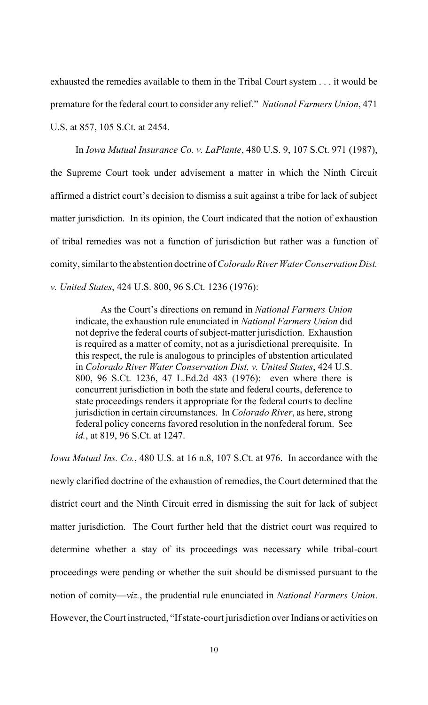exhausted the remedies available to them in the Tribal Court system . . . it would be premature for the federal court to consider any relief." *National Farmers Union*, 471 U.S. at 857, 105 S.Ct. at 2454.

In *Iowa Mutual Insurance Co. v. LaPlante*, 480 U.S. 9, 107 S.Ct. 971 (1987), the Supreme Court took under advisement a matter in which the Ninth Circuit affirmed a district court's decision to dismiss a suit against a tribe for lack of subject matter jurisdiction. In its opinion, the Court indicated that the notion of exhaustion of tribal remedies was not a function of jurisdiction but rather was a function of comity, similar to the abstention doctrine of *Colorado River Water Conservation Dist. v. United States*, 424 U.S. 800, 96 S.Ct. 1236 (1976):

As the Court's directions on remand in *National Farmers Union* indicate, the exhaustion rule enunciated in *National Farmers Union* did not deprive the federal courts of subject-matter jurisdiction. Exhaustion is required as a matter of comity, not as a jurisdictional prerequisite. In this respect, the rule is analogous to principles of abstention articulated in *Colorado River Water Conservation Dist. v. United States*, 424 U.S. 800, 96 S.Ct. 1236, 47 L.Ed.2d 483 (1976): even where there is concurrent jurisdiction in both the state and federal courts, deference to state proceedings renders it appropriate for the federal courts to decline jurisdiction in certain circumstances. In *Colorado River*, as here, strong federal policy concerns favored resolution in the nonfederal forum. See *id.*, at 819, 96 S.Ct. at 1247.

*Iowa Mutual Ins. Co.*, 480 U.S. at 16 n.8, 107 S.Ct. at 976. In accordance with the newly clarified doctrine of the exhaustion of remedies, the Court determined that the district court and the Ninth Circuit erred in dismissing the suit for lack of subject matter jurisdiction. The Court further held that the district court was required to determine whether a stay of its proceedings was necessary while tribal-court proceedings were pending or whether the suit should be dismissed pursuant to the notion of comity—*viz.*, the prudential rule enunciated in *National Farmers Union*. However, the Court instructed, "If state-court jurisdiction over Indians or activities on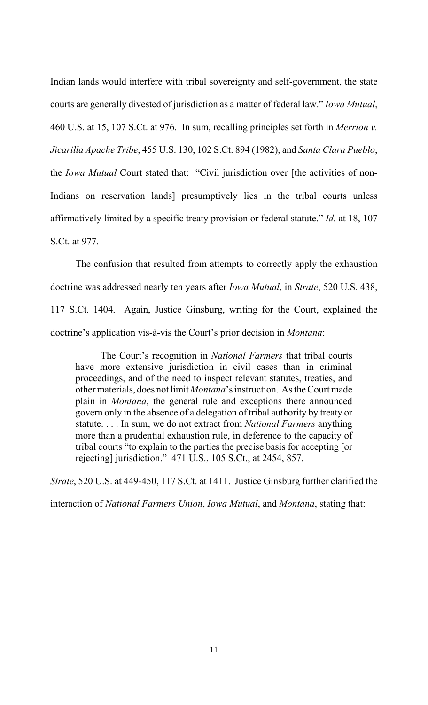Indian lands would interfere with tribal sovereignty and self-government, the state courts are generally divested of jurisdiction as a matter of federal law." *Iowa Mutual*, 460 U.S. at 15, 107 S.Ct. at 976. In sum, recalling principles set forth in *Merrion v. Jicarilla Apache Tribe*, 455 U.S. 130, 102 S.Ct. 894 (1982), and *Santa Clara Pueblo*, the *Iowa Mutual* Court stated that: "Civil jurisdiction over [the activities of non-Indians on reservation lands] presumptively lies in the tribal courts unless affirmatively limited by a specific treaty provision or federal statute." *Id.* at 18, 107 S.Ct. at 977.

The confusion that resulted from attempts to correctly apply the exhaustion doctrine was addressed nearly ten years after *Iowa Mutual*, in *Strate*, 520 U.S. 438, 117 S.Ct. 1404. Again, Justice Ginsburg, writing for the Court, explained the doctrine's application vis-à-vis the Court's prior decision in *Montana*:

The Court's recognition in *National Farmers* that tribal courts have more extensive jurisdiction in civil cases than in criminal proceedings, and of the need to inspect relevant statutes, treaties, and other materials, does not limit *Montana*'s instruction. As the Court made plain in *Montana*, the general rule and exceptions there announced govern only in the absence of a delegation of tribal authority by treaty or statute. . . . In sum, we do not extract from *National Farmers* anything more than a prudential exhaustion rule, in deference to the capacity of tribal courts "to explain to the parties the precise basis for accepting [or rejecting] jurisdiction." 471 U.S., 105 S.Ct., at 2454, 857.

*Strate*, 520 U.S. at 449-450, 117 S.Ct. at 1411. Justice Ginsburg further clarified the

interaction of *National Farmers Union*, *Iowa Mutual*, and *Montana*, stating that: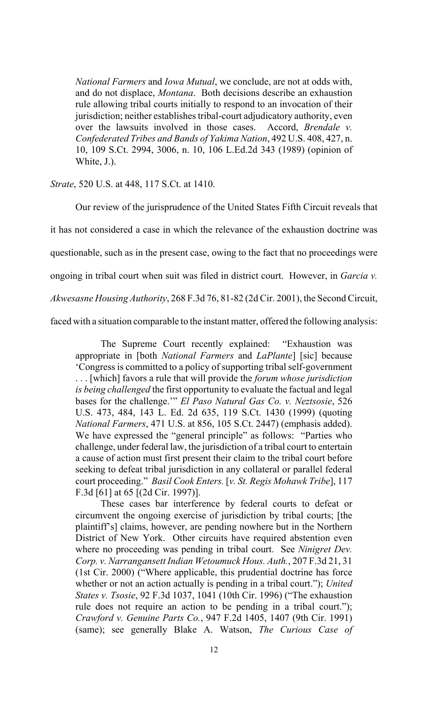*National Farmers* and *Iowa Mutual*, we conclude, are not at odds with, and do not displace, *Montana*. Both decisions describe an exhaustion rule allowing tribal courts initially to respond to an invocation of their jurisdiction; neither establishes tribal-court adjudicatory authority, even over the lawsuits involved in those cases. Accord, *Brendale v. Confederated Tribes and Bands of Yakima Nation*, 492 U.S. 408, 427, n. 10, 109 S.Ct. 2994, 3006, n. 10, 106 L.Ed.2d 343 (1989) (opinion of White, J.).

### *Strate*, 520 U.S. at 448, 117 S.Ct. at 1410.

Our review of the jurisprudence of the United States Fifth Circuit reveals that

it has not considered a case in which the relevance of the exhaustion doctrine was

questionable, such as in the present case, owing to the fact that no proceedings were

ongoing in tribal court when suit was filed in district court. However, in *Garcia v.*

*Akwesasne Housing Authority*, 268 F.3d 76, 81-82 (2d Cir. 2001), the Second Circuit,

faced with a situation comparable to the instant matter, offered the following analysis:

The Supreme Court recently explained: "Exhaustion was appropriate in [both *National Farmers* and *LaPlante*] [sic] because 'Congress is committed to a policy of supporting tribal self-government

. . . [which] favors a rule that will provide the *forum whose jurisdiction is being challenged* the first opportunity to evaluate the factual and legal bases for the challenge.'" *El Paso Natural Gas Co. v. Neztsosie*, 526 U.S. 473, 484, 143 L. Ed. 2d 635, 119 S.Ct. 1430 (1999) (quoting *National Farmers*, 471 U.S. at 856, 105 S.Ct. 2447) (emphasis added). We have expressed the "general principle" as follows: "Parties who challenge, under federal law, the jurisdiction of a tribal court to entertain a cause of action must first present their claim to the tribal court before seeking to defeat tribal jurisdiction in any collateral or parallel federal court proceeding." *Basil Cook Enters.* [*v. St. Regis Mohawk Tribe*], 117 F.3d [61] at 65 [(2d Cir. 1997)].

These cases bar interference by federal courts to defeat or circumvent the ongoing exercise of jurisdiction by tribal courts; [the plaintiff's] claims, however, are pending nowhere but in the Northern District of New York. Other circuits have required abstention even where no proceeding was pending in tribal court. See *Ninigret Dev. Corp. v. Narrangansett Indian Wetoumuck Hous. Auth.*, 207 F.3d 21, 31 (1st Cir. 2000) ("Where applicable, this prudential doctrine has force whether or not an action actually is pending in a tribal court."); *United States v. Tsosie*, 92 F.3d 1037, 1041 (10th Cir. 1996) ("The exhaustion rule does not require an action to be pending in a tribal court."); *Crawford v. Genuine Parts Co.*, 947 F.2d 1405, 1407 (9th Cir. 1991) (same); see generally Blake A. Watson, *The Curious Case of*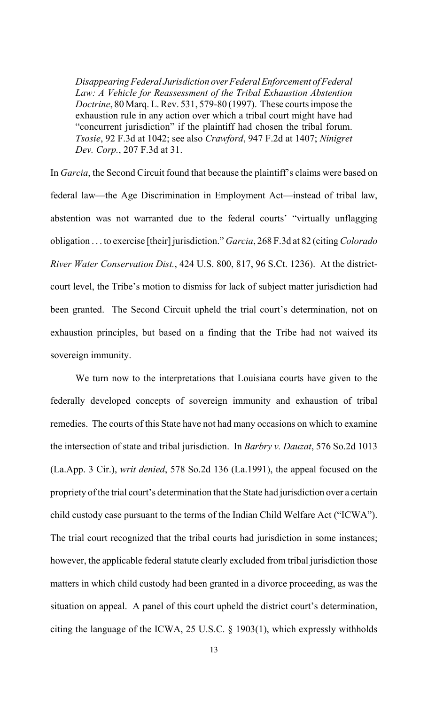*Disappearing Federal Jurisdiction over Federal Enforcement of Federal Law: A Vehicle for Reassessment of the Tribal Exhaustion Abstention Doctrine*, 80 Marq. L. Rev. 531, 579-80 (1997). These courts impose the exhaustion rule in any action over which a tribal court might have had "concurrent jurisdiction" if the plaintiff had chosen the tribal forum. *Tsosie*, 92 F.3d at 1042; see also *Crawford*, 947 F.2d at 1407; *Ninigret Dev. Corp.*, 207 F.3d at 31.

In *Garcia*, the Second Circuit found that because the plaintiff's claims were based on federal law—the Age Discrimination in Employment Act—instead of tribal law, abstention was not warranted due to the federal courts' "virtually unflagging obligation . . . to exercise [their] jurisdiction." *Garcia*, 268 F.3d at 82 (citing *Colorado River Water Conservation Dist.*, 424 U.S. 800, 817, 96 S.Ct. 1236). At the districtcourt level, the Tribe's motion to dismiss for lack of subject matter jurisdiction had been granted. The Second Circuit upheld the trial court's determination, not on exhaustion principles, but based on a finding that the Tribe had not waived its sovereign immunity.

We turn now to the interpretations that Louisiana courts have given to the federally developed concepts of sovereign immunity and exhaustion of tribal remedies. The courts of this State have not had many occasions on which to examine the intersection of state and tribal jurisdiction. In *Barbry v. Dauzat*, 576 So.2d 1013 (La.App. 3 Cir.), *writ denied*, 578 So.2d 136 (La.1991), the appeal focused on the propriety of the trial court's determination that the State had jurisdiction over a certain child custody case pursuant to the terms of the Indian Child Welfare Act ("ICWA"). The trial court recognized that the tribal courts had jurisdiction in some instances; however, the applicable federal statute clearly excluded from tribal jurisdiction those matters in which child custody had been granted in a divorce proceeding, as was the situation on appeal. A panel of this court upheld the district court's determination, citing the language of the ICWA, 25 U.S.C. § 1903(1), which expressly withholds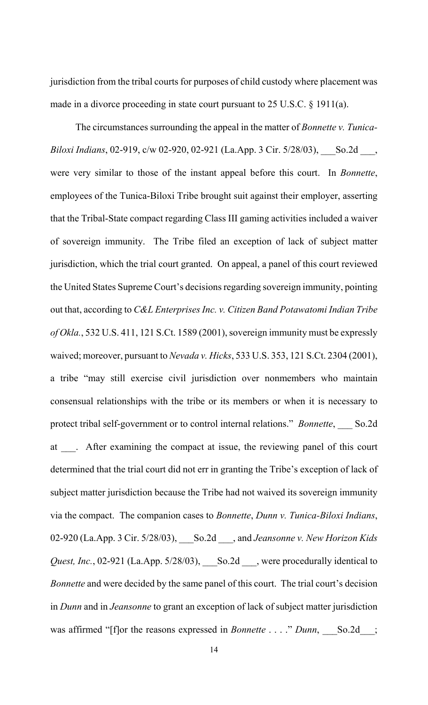jurisdiction from the tribal courts for purposes of child custody where placement was made in a divorce proceeding in state court pursuant to 25 U.S.C. § 1911(a).

The circumstances surrounding the appeal in the matter of *Bonnette v. Tunica-Biloxi Indians*, 02-919, c/w 02-920, 02-921 (La.App. 3 Cir. 5/28/03), So.2d, were very similar to those of the instant appeal before this court. In *Bonnette*, employees of the Tunica-Biloxi Tribe brought suit against their employer, asserting that the Tribal-State compact regarding Class III gaming activities included a waiver of sovereign immunity. The Tribe filed an exception of lack of subject matter jurisdiction, which the trial court granted. On appeal, a panel of this court reviewed the United States Supreme Court's decisions regarding sovereign immunity, pointing out that, according to *C&L Enterprises Inc. v. Citizen Band Potawatomi Indian Tribe of Okla.*, 532 U.S. 411, 121 S.Ct. 1589 (2001), sovereign immunity must be expressly waived; moreover, pursuant to *Nevada v. Hicks*, 533 U.S. 353, 121 S.Ct. 2304 (2001), a tribe "may still exercise civil jurisdiction over nonmembers who maintain consensual relationships with the tribe or its members or when it is necessary to protect tribal self-government or to control internal relations." *Bonnette*, So.2d at \_\_\_. After examining the compact at issue, the reviewing panel of this court determined that the trial court did not err in granting the Tribe's exception of lack of subject matter jurisdiction because the Tribe had not waived its sovereign immunity via the compact. The companion cases to *Bonnette*, *Dunn v. Tunica-Biloxi Indians*, 02-920 (La.App. 3 Cir. 5/28/03), \_\_\_So.2d \_\_\_, and *Jeansonne v. New Horizon Kids Quest, Inc.*, 02-921 (La.App. 5/28/03), \_\_\_So.2d \_\_\_, were procedurally identical to *Bonnette* and were decided by the same panel of this court. The trial court's decision in *Dunn* and in *Jeansonne* to grant an exception of lack of subject matter jurisdiction was affirmed "[f]or the reasons expressed in *Bonnette* . . . ." *Dunn*, So.2d\_\_;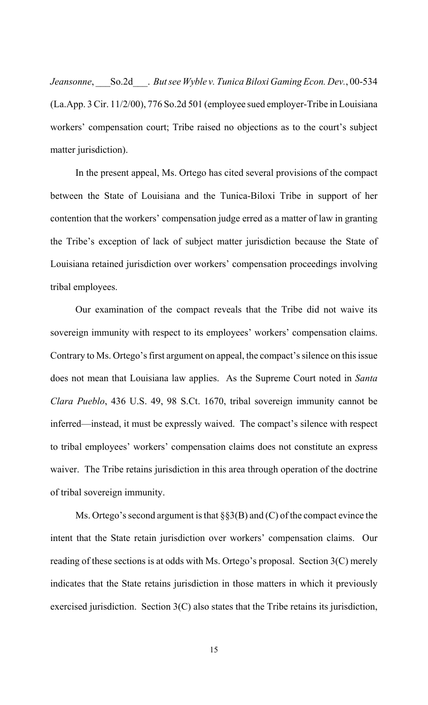*Jeansonne*, \_\_\_So.2d\_\_\_. *But see Wyble v. Tunica Biloxi Gaming Econ. Dev.*, 00-534 (La.App. 3 Cir. 11/2/00), 776 So.2d 501 (employee sued employer-Tribe in Louisiana workers' compensation court; Tribe raised no objections as to the court's subject matter jurisdiction).

In the present appeal, Ms. Ortego has cited several provisions of the compact between the State of Louisiana and the Tunica-Biloxi Tribe in support of her contention that the workers' compensation judge erred as a matter of law in granting the Tribe's exception of lack of subject matter jurisdiction because the State of Louisiana retained jurisdiction over workers' compensation proceedings involving tribal employees.

Our examination of the compact reveals that the Tribe did not waive its sovereign immunity with respect to its employees' workers' compensation claims. Contrary to Ms. Ortego's first argument on appeal, the compact's silence on this issue does not mean that Louisiana law applies. As the Supreme Court noted in *Santa Clara Pueblo*, 436 U.S. 49, 98 S.Ct. 1670, tribal sovereign immunity cannot be inferred—instead, it must be expressly waived. The compact's silence with respect to tribal employees' workers' compensation claims does not constitute an express waiver. The Tribe retains jurisdiction in this area through operation of the doctrine of tribal sovereign immunity.

Ms. Ortego's second argument is that  $\S$ §3(B) and (C) of the compact evince the intent that the State retain jurisdiction over workers' compensation claims. Our reading of these sections is at odds with Ms. Ortego's proposal. Section 3(C) merely indicates that the State retains jurisdiction in those matters in which it previously exercised jurisdiction. Section 3(C) also states that the Tribe retains its jurisdiction,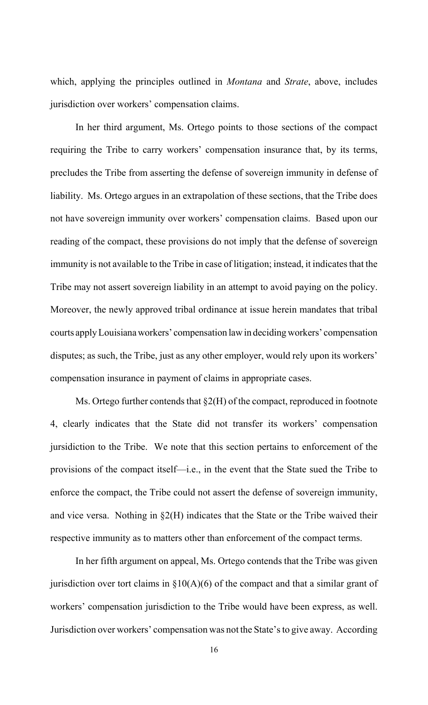which, applying the principles outlined in *Montana* and *Strate*, above, includes jurisdiction over workers' compensation claims.

In her third argument, Ms. Ortego points to those sections of the compact requiring the Tribe to carry workers' compensation insurance that, by its terms, precludes the Tribe from asserting the defense of sovereign immunity in defense of liability. Ms. Ortego argues in an extrapolation of these sections, that the Tribe does not have sovereign immunity over workers' compensation claims. Based upon our reading of the compact, these provisions do not imply that the defense of sovereign immunity is not available to the Tribe in case of litigation; instead, it indicates that the Tribe may not assert sovereign liability in an attempt to avoid paying on the policy. Moreover, the newly approved tribal ordinance at issue herein mandates that tribal courts apply Louisiana workers' compensation law in deciding workers' compensation disputes; as such, the Tribe, just as any other employer, would rely upon its workers' compensation insurance in payment of claims in appropriate cases.

Ms. Ortego further contends that  $\S2(H)$  of the compact, reproduced in footnote 4, clearly indicates that the State did not transfer its workers' compensation jursidiction to the Tribe. We note that this section pertains to enforcement of the provisions of the compact itself—i.e., in the event that the State sued the Tribe to enforce the compact, the Tribe could not assert the defense of sovereign immunity, and vice versa. Nothing in  $\S2(H)$  indicates that the State or the Tribe waived their respective immunity as to matters other than enforcement of the compact terms.

In her fifth argument on appeal, Ms. Ortego contends that the Tribe was given jurisdiction over tort claims in  $\S10(A)(6)$  of the compact and that a similar grant of workers' compensation jurisdiction to the Tribe would have been express, as well. Jurisdiction over workers' compensation was not the State's to give away. According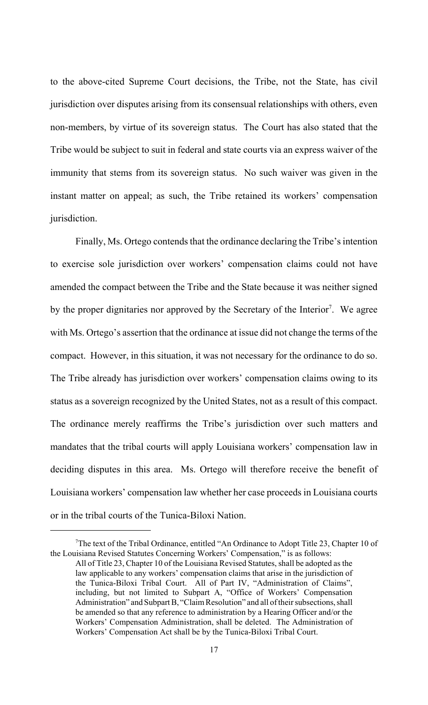to the above-cited Supreme Court decisions, the Tribe, not the State, has civil jurisdiction over disputes arising from its consensual relationships with others, even non-members, by virtue of its sovereign status. The Court has also stated that the Tribe would be subject to suit in federal and state courts via an express waiver of the immunity that stems from its sovereign status. No such waiver was given in the instant matter on appeal; as such, the Tribe retained its workers' compensation jurisdiction.

Finally, Ms. Ortego contends that the ordinance declaring the Tribe's intention to exercise sole jurisdiction over workers' compensation claims could not have amended the compact between the Tribe and the State because it was neither signed by the proper dignitaries nor approved by the Secretary of the Interior<sup>7</sup>. We agree with Ms. Ortego's assertion that the ordinance at issue did not change the terms of the compact. However, in this situation, it was not necessary for the ordinance to do so. The Tribe already has jurisdiction over workers' compensation claims owing to its status as a sovereign recognized by the United States, not as a result of this compact. The ordinance merely reaffirms the Tribe's jurisdiction over such matters and mandates that the tribal courts will apply Louisiana workers' compensation law in deciding disputes in this area. Ms. Ortego will therefore receive the benefit of Louisiana workers' compensation law whether her case proceeds in Louisiana courts or in the tribal courts of the Tunica-Biloxi Nation.

<sup>&</sup>lt;sup>7</sup>The text of the Tribal Ordinance, entitled "An Ordinance to Adopt Title 23, Chapter 10 of the Louisiana Revised Statutes Concerning Workers' Compensation," is as follows:

All of Title 23, Chapter 10 of the Louisiana Revised Statutes, shall be adopted as the law applicable to any workers' compensation claims that arise in the jurisdiction of the Tunica-Biloxi Tribal Court. All of Part IV, "Administration of Claims", including, but not limited to Subpart A, "Office of Workers' Compensation Administration" and Subpart B, "Claim Resolution" and all of their subsections, shall be amended so that any reference to administration by a Hearing Officer and/or the Workers' Compensation Administration, shall be deleted. The Administration of Workers' Compensation Act shall be by the Tunica-Biloxi Tribal Court.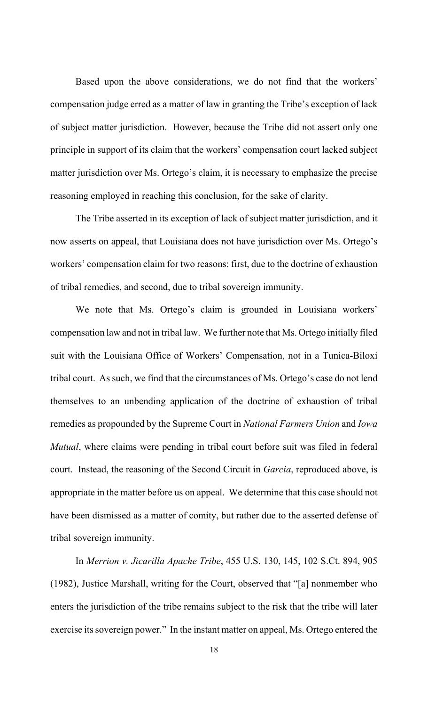Based upon the above considerations, we do not find that the workers' compensation judge erred as a matter of law in granting the Tribe's exception of lack of subject matter jurisdiction. However, because the Tribe did not assert only one principle in support of its claim that the workers' compensation court lacked subject matter jurisdiction over Ms. Ortego's claim, it is necessary to emphasize the precise reasoning employed in reaching this conclusion, for the sake of clarity.

The Tribe asserted in its exception of lack of subject matter jurisdiction, and it now asserts on appeal, that Louisiana does not have jurisdiction over Ms. Ortego's workers' compensation claim for two reasons: first, due to the doctrine of exhaustion of tribal remedies, and second, due to tribal sovereign immunity.

We note that Ms. Ortego's claim is grounded in Louisiana workers' compensation law and not in tribal law. We further note that Ms. Ortego initially filed suit with the Louisiana Office of Workers' Compensation, not in a Tunica-Biloxi tribal court. As such, we find that the circumstances of Ms. Ortego's case do not lend themselves to an unbending application of the doctrine of exhaustion of tribal remedies as propounded by the Supreme Court in *National Farmers Union* and *Iowa Mutual*, where claims were pending in tribal court before suit was filed in federal court. Instead, the reasoning of the Second Circuit in *Garcia*, reproduced above, is appropriate in the matter before us on appeal. We determine that this case should not have been dismissed as a matter of comity, but rather due to the asserted defense of tribal sovereign immunity.

In *Merrion v. Jicarilla Apache Tribe*, 455 U.S. 130, 145, 102 S.Ct. 894, 905 (1982), Justice Marshall, writing for the Court, observed that "[a] nonmember who enters the jurisdiction of the tribe remains subject to the risk that the tribe will later exercise its sovereign power." In the instant matter on appeal, Ms. Ortego entered the